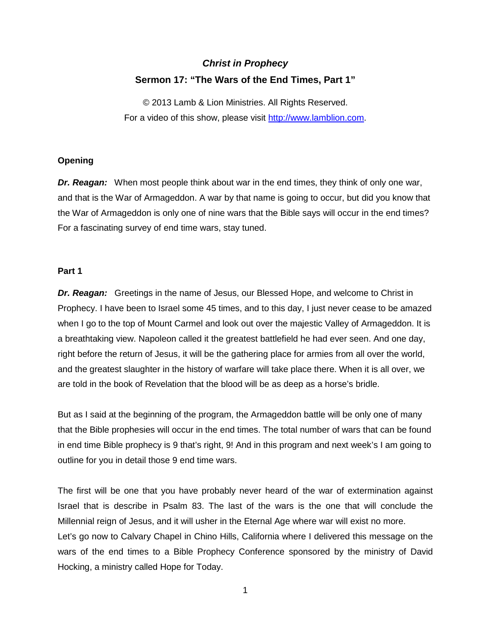# *Christ in Prophecy* **Sermon 17: "The Wars of the End Times, Part 1"**

© 2013 Lamb & Lion Ministries. All Rights Reserved. For a video of this show, please visit [http://www.lamblion.com.](http://www.lamblion.com/)

## **Opening**

*Dr. Reagan:* When most people think about war in the end times, they think of only one war, and that is the War of Armageddon. A war by that name is going to occur, but did you know that the War of Armageddon is only one of nine wars that the Bible says will occur in the end times? For a fascinating survey of end time wars, stay tuned.

## **Part 1**

*Dr. Reagan:* Greetings in the name of Jesus, our Blessed Hope, and welcome to Christ in Prophecy. I have been to Israel some 45 times, and to this day, I just never cease to be amazed when I go to the top of Mount Carmel and look out over the majestic Valley of Armageddon. It is a breathtaking view. Napoleon called it the greatest battlefield he had ever seen. And one day, right before the return of Jesus, it will be the gathering place for armies from all over the world, and the greatest slaughter in the history of warfare will take place there. When it is all over, we are told in the book of Revelation that the blood will be as deep as a horse's bridle.

But as I said at the beginning of the program, the Armageddon battle will be only one of many that the Bible prophesies will occur in the end times. The total number of wars that can be found in end time Bible prophecy is 9 that's right, 9! And in this program and next week's I am going to outline for you in detail those 9 end time wars.

The first will be one that you have probably never heard of the war of extermination against Israel that is describe in Psalm 83. The last of the wars is the one that will conclude the Millennial reign of Jesus, and it will usher in the Eternal Age where war will exist no more. Let's go now to Calvary Chapel in Chino Hills, California where I delivered this message on the wars of the end times to a Bible Prophecy Conference sponsored by the ministry of David Hocking, a ministry called Hope for Today.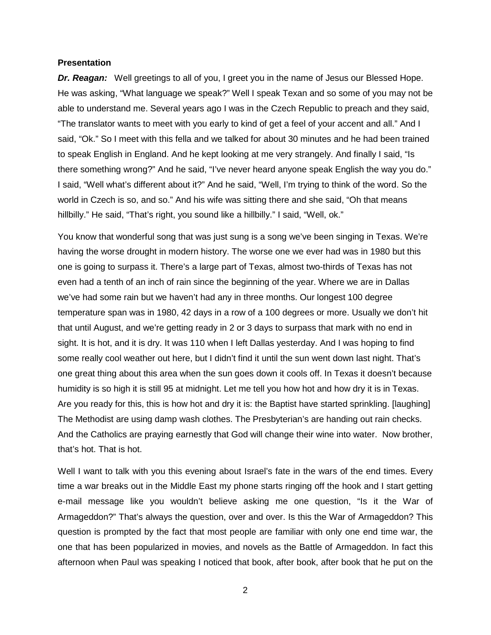#### **Presentation**

*Dr. Reagan:* Well greetings to all of you, I greet you in the name of Jesus our Blessed Hope. He was asking, "What language we speak?" Well I speak Texan and so some of you may not be able to understand me. Several years ago I was in the Czech Republic to preach and they said, "The translator wants to meet with you early to kind of get a feel of your accent and all." And I said, "Ok." So I meet with this fella and we talked for about 30 minutes and he had been trained to speak English in England. And he kept looking at me very strangely. And finally I said, "Is there something wrong?" And he said, "I've never heard anyone speak English the way you do." I said, "Well what's different about it?" And he said, "Well, I'm trying to think of the word. So the world in Czech is so, and so." And his wife was sitting there and she said, "Oh that means hillbilly." He said, "That's right, you sound like a hillbilly." I said, "Well, ok."

You know that wonderful song that was just sung is a song we've been singing in Texas. We're having the worse drought in modern history. The worse one we ever had was in 1980 but this one is going to surpass it. There's a large part of Texas, almost two-thirds of Texas has not even had a tenth of an inch of rain since the beginning of the year. Where we are in Dallas we've had some rain but we haven't had any in three months. Our longest 100 degree temperature span was in 1980, 42 days in a row of a 100 degrees or more. Usually we don't hit that until August, and we're getting ready in 2 or 3 days to surpass that mark with no end in sight. It is hot, and it is dry. It was 110 when I left Dallas yesterday. And I was hoping to find some really cool weather out here, but I didn't find it until the sun went down last night. That's one great thing about this area when the sun goes down it cools off. In Texas it doesn't because humidity is so high it is still 95 at midnight. Let me tell you how hot and how dry it is in Texas. Are you ready for this, this is how hot and dry it is: the Baptist have started sprinkling. [laughing] The Methodist are using damp wash clothes. The Presbyterian's are handing out rain checks. And the Catholics are praying earnestly that God will change their wine into water. Now brother, that's hot. That is hot.

Well I want to talk with you this evening about Israel's fate in the wars of the end times. Every time a war breaks out in the Middle East my phone starts ringing off the hook and I start getting e-mail message like you wouldn't believe asking me one question, "Is it the War of Armageddon?" That's always the question, over and over. Is this the War of Armageddon? This question is prompted by the fact that most people are familiar with only one end time war, the one that has been popularized in movies, and novels as the Battle of Armageddon. In fact this afternoon when Paul was speaking I noticed that book, after book, after book that he put on the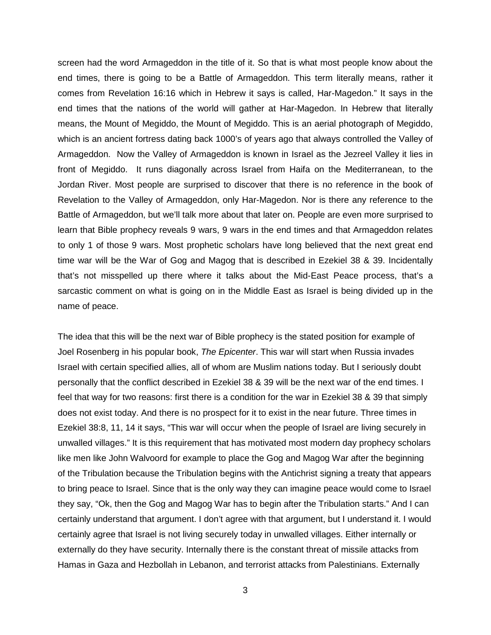screen had the word Armageddon in the title of it. So that is what most people know about the end times, there is going to be a Battle of Armageddon. This term literally means, rather it comes from Revelation 16:16 which in Hebrew it says is called, Har-Magedon." It says in the end times that the nations of the world will gather at Har-Magedon. In Hebrew that literally means, the Mount of Megiddo, the Mount of Megiddo. This is an aerial photograph of Megiddo, which is an ancient fortress dating back 1000's of years ago that always controlled the Valley of Armageddon. Now the Valley of Armageddon is known in Israel as the Jezreel Valley it lies in front of Megiddo. It runs diagonally across Israel from Haifa on the Mediterranean, to the Jordan River. Most people are surprised to discover that there is no reference in the book of Revelation to the Valley of Armageddon, only Har-Magedon. Nor is there any reference to the Battle of Armageddon, but we'll talk more about that later on. People are even more surprised to learn that Bible prophecy reveals 9 wars, 9 wars in the end times and that Armageddon relates to only 1 of those 9 wars. Most prophetic scholars have long believed that the next great end time war will be the War of Gog and Magog that is described in Ezekiel 38 & 39. Incidentally that's not misspelled up there where it talks about the Mid-East Peace process, that's a sarcastic comment on what is going on in the Middle East as Israel is being divided up in the name of peace.

The idea that this will be the next war of Bible prophecy is the stated position for example of Joel Rosenberg in his popular book, *The Epicenter*. This war will start when Russia invades Israel with certain specified allies, all of whom are Muslim nations today. But I seriously doubt personally that the conflict described in Ezekiel 38 & 39 will be the next war of the end times. I feel that way for two reasons: first there is a condition for the war in Ezekiel 38 & 39 that simply does not exist today. And there is no prospect for it to exist in the near future. Three times in Ezekiel 38:8, 11, 14 it says, "This war will occur when the people of Israel are living securely in unwalled villages." It is this requirement that has motivated most modern day prophecy scholars like men like John Walvoord for example to place the Gog and Magog War after the beginning of the Tribulation because the Tribulation begins with the Antichrist signing a treaty that appears to bring peace to Israel. Since that is the only way they can imagine peace would come to Israel they say, "Ok, then the Gog and Magog War has to begin after the Tribulation starts." And I can certainly understand that argument. I don't agree with that argument, but I understand it. I would certainly agree that Israel is not living securely today in unwalled villages. Either internally or externally do they have security. Internally there is the constant threat of missile attacks from Hamas in Gaza and Hezbollah in Lebanon, and terrorist attacks from Palestinians. Externally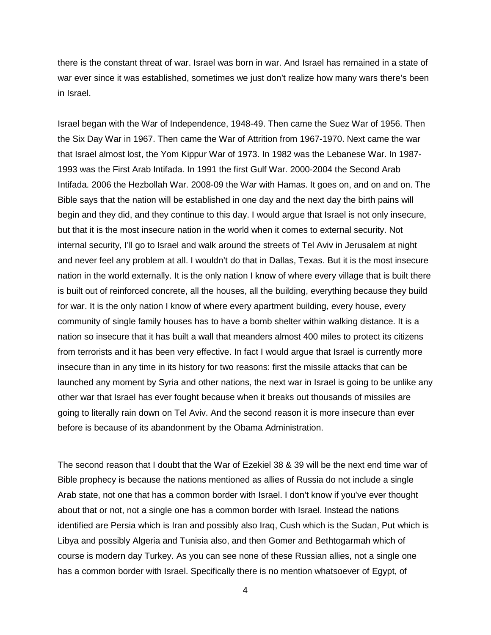there is the constant threat of war. Israel was born in war. And Israel has remained in a state of war ever since it was established, sometimes we just don't realize how many wars there's been in Israel.

Israel began with the War of Independence, 1948-49. Then came the Suez War of 1956. Then the Six Day War in 1967. Then came the War of Attrition from 1967-1970. Next came the war that Israel almost lost, the Yom Kippur War of 1973. In 1982 was the Lebanese War. In 1987- 1993 was the First Arab Intifada. In 1991 the first Gulf War. 2000-2004 the Second Arab Intifada. 2006 the Hezbollah War. 2008-09 the War with Hamas. It goes on, and on and on. The Bible says that the nation will be established in one day and the next day the birth pains will begin and they did, and they continue to this day. I would argue that Israel is not only insecure, but that it is the most insecure nation in the world when it comes to external security. Not internal security, I'll go to Israel and walk around the streets of Tel Aviv in Jerusalem at night and never feel any problem at all. I wouldn't do that in Dallas, Texas. But it is the most insecure nation in the world externally. It is the only nation I know of where every village that is built there is built out of reinforced concrete, all the houses, all the building, everything because they build for war. It is the only nation I know of where every apartment building, every house, every community of single family houses has to have a bomb shelter within walking distance. It is a nation so insecure that it has built a wall that meanders almost 400 miles to protect its citizens from terrorists and it has been very effective. In fact I would argue that Israel is currently more insecure than in any time in its history for two reasons: first the missile attacks that can be launched any moment by Syria and other nations, the next war in Israel is going to be unlike any other war that Israel has ever fought because when it breaks out thousands of missiles are going to literally rain down on Tel Aviv. And the second reason it is more insecure than ever before is because of its abandonment by the Obama Administration.

The second reason that I doubt that the War of Ezekiel 38 & 39 will be the next end time war of Bible prophecy is because the nations mentioned as allies of Russia do not include a single Arab state, not one that has a common border with Israel. I don't know if you've ever thought about that or not, not a single one has a common border with Israel. Instead the nations identified are Persia which is Iran and possibly also Iraq, Cush which is the Sudan, Put which is Libya and possibly Algeria and Tunisia also, and then Gomer and Bethtogarmah which of course is modern day Turkey. As you can see none of these Russian allies, not a single one has a common border with Israel. Specifically there is no mention whatsoever of Egypt, of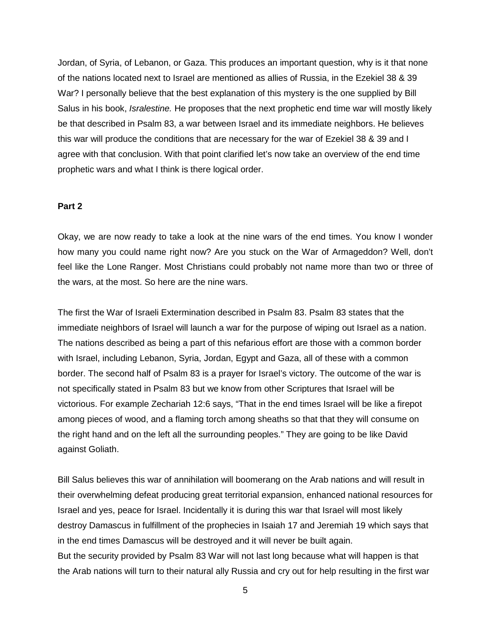Jordan, of Syria, of Lebanon, or Gaza. This produces an important question, why is it that none of the nations located next to Israel are mentioned as allies of Russia, in the Ezekiel 38 & 39 War? I personally believe that the best explanation of this mystery is the one supplied by Bill Salus in his book, *Isralestine.* He proposes that the next prophetic end time war will mostly likely be that described in Psalm 83, a war between Israel and its immediate neighbors. He believes this war will produce the conditions that are necessary for the war of Ezekiel 38 & 39 and I agree with that conclusion. With that point clarified let's now take an overview of the end time prophetic wars and what I think is there logical order.

#### **Part 2**

Okay, we are now ready to take a look at the nine wars of the end times. You know I wonder how many you could name right now? Are you stuck on the War of Armageddon? Well, don't feel like the Lone Ranger. Most Christians could probably not name more than two or three of the wars, at the most. So here are the nine wars.

The first the War of Israeli Extermination described in Psalm 83. Psalm 83 states that the immediate neighbors of Israel will launch a war for the purpose of wiping out Israel as a nation. The nations described as being a part of this nefarious effort are those with a common border with Israel, including Lebanon, Syria, Jordan, Egypt and Gaza, all of these with a common border. The second half of Psalm 83 is a prayer for Israel's victory. The outcome of the war is not specifically stated in Psalm 83 but we know from other Scriptures that Israel will be victorious. For example Zechariah 12:6 says, "That in the end times Israel will be like a firepot among pieces of wood, and a flaming torch among sheaths so that that they will consume on the right hand and on the left all the surrounding peoples." They are going to be like David against Goliath.

Bill Salus believes this war of annihilation will boomerang on the Arab nations and will result in their overwhelming defeat producing great territorial expansion, enhanced national resources for Israel and yes, peace for Israel. Incidentally it is during this war that Israel will most likely destroy Damascus in fulfillment of the prophecies in Isaiah 17 and Jeremiah 19 which says that in the end times Damascus will be destroyed and it will never be built again. But the security provided by Psalm 83 War will not last long because what will happen is that the Arab nations will turn to their natural ally Russia and cry out for help resulting in the first war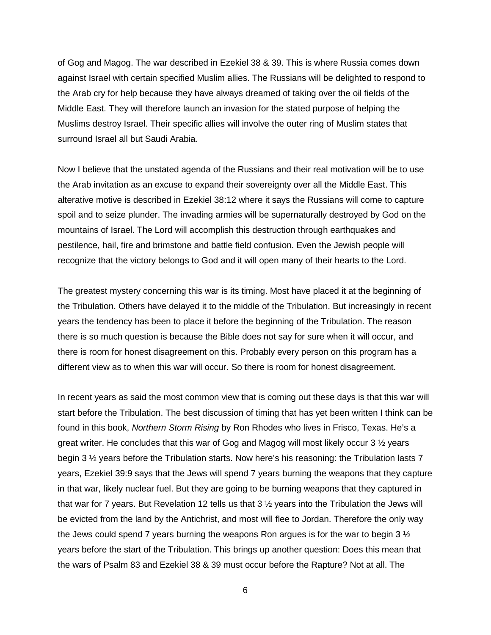of Gog and Magog. The war described in Ezekiel 38 & 39. This is where Russia comes down against Israel with certain specified Muslim allies. The Russians will be delighted to respond to the Arab cry for help because they have always dreamed of taking over the oil fields of the Middle East. They will therefore launch an invasion for the stated purpose of helping the Muslims destroy Israel. Their specific allies will involve the outer ring of Muslim states that surround Israel all but Saudi Arabia.

Now I believe that the unstated agenda of the Russians and their real motivation will be to use the Arab invitation as an excuse to expand their sovereignty over all the Middle East. This alterative motive is described in Ezekiel 38:12 where it says the Russians will come to capture spoil and to seize plunder. The invading armies will be supernaturally destroyed by God on the mountains of Israel. The Lord will accomplish this destruction through earthquakes and pestilence, hail, fire and brimstone and battle field confusion. Even the Jewish people will recognize that the victory belongs to God and it will open many of their hearts to the Lord.

The greatest mystery concerning this war is its timing. Most have placed it at the beginning of the Tribulation. Others have delayed it to the middle of the Tribulation. But increasingly in recent years the tendency has been to place it before the beginning of the Tribulation. The reason there is so much question is because the Bible does not say for sure when it will occur, and there is room for honest disagreement on this. Probably every person on this program has a different view as to when this war will occur. So there is room for honest disagreement.

In recent years as said the most common view that is coming out these days is that this war will start before the Tribulation. The best discussion of timing that has yet been written I think can be found in this book, *Northern Storm Rising* by Ron Rhodes who lives in Frisco, Texas. He's a great writer. He concludes that this war of Gog and Magog will most likely occur 3 ½ years begin 3 ½ years before the Tribulation starts. Now here's his reasoning: the Tribulation lasts 7 years, Ezekiel 39:9 says that the Jews will spend 7 years burning the weapons that they capture in that war, likely nuclear fuel. But they are going to be burning weapons that they captured in that war for 7 years. But Revelation 12 tells us that 3 ½ years into the Tribulation the Jews will be evicted from the land by the Antichrist, and most will flee to Jordan. Therefore the only way the Jews could spend 7 years burning the weapons Ron argues is for the war to begin 3  $\frac{1}{2}$ years before the start of the Tribulation. This brings up another question: Does this mean that the wars of Psalm 83 and Ezekiel 38 & 39 must occur before the Rapture? Not at all. The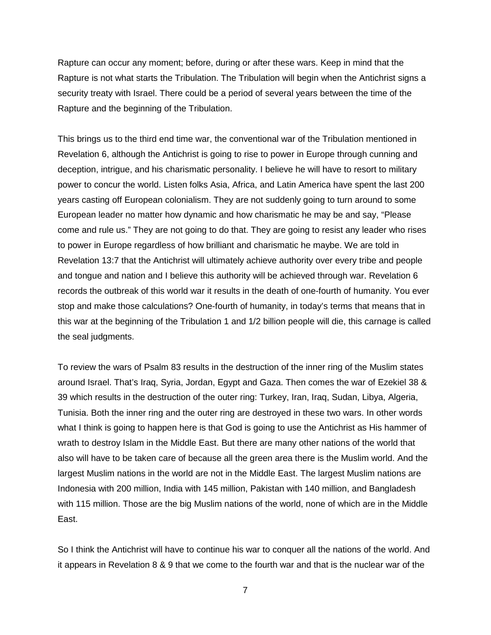Rapture can occur any moment; before, during or after these wars. Keep in mind that the Rapture is not what starts the Tribulation. The Tribulation will begin when the Antichrist signs a security treaty with Israel. There could be a period of several years between the time of the Rapture and the beginning of the Tribulation.

This brings us to the third end time war, the conventional war of the Tribulation mentioned in Revelation 6, although the Antichrist is going to rise to power in Europe through cunning and deception, intrigue, and his charismatic personality. I believe he will have to resort to military power to concur the world. Listen folks Asia, Africa, and Latin America have spent the last 200 years casting off European colonialism. They are not suddenly going to turn around to some European leader no matter how dynamic and how charismatic he may be and say, "Please come and rule us." They are not going to do that. They are going to resist any leader who rises to power in Europe regardless of how brilliant and charismatic he maybe. We are told in Revelation 13:7 that the Antichrist will ultimately achieve authority over every tribe and people and tongue and nation and I believe this authority will be achieved through war. Revelation 6 records the outbreak of this world war it results in the death of one-fourth of humanity. You ever stop and make those calculations? One-fourth of humanity, in today's terms that means that in this war at the beginning of the Tribulation 1 and 1/2 billion people will die, this carnage is called the seal judgments.

To review the wars of Psalm 83 results in the destruction of the inner ring of the Muslim states around Israel. That's Iraq, Syria, Jordan, Egypt and Gaza. Then comes the war of Ezekiel 38 & 39 which results in the destruction of the outer ring: Turkey, Iran, Iraq, Sudan, Libya, Algeria, Tunisia. Both the inner ring and the outer ring are destroyed in these two wars. In other words what I think is going to happen here is that God is going to use the Antichrist as His hammer of wrath to destroy Islam in the Middle East. But there are many other nations of the world that also will have to be taken care of because all the green area there is the Muslim world. And the largest Muslim nations in the world are not in the Middle East. The largest Muslim nations are Indonesia with 200 million, India with 145 million, Pakistan with 140 million, and Bangladesh with 115 million. Those are the big Muslim nations of the world, none of which are in the Middle East.

So I think the Antichrist will have to continue his war to conquer all the nations of the world. And it appears in Revelation 8 & 9 that we come to the fourth war and that is the nuclear war of the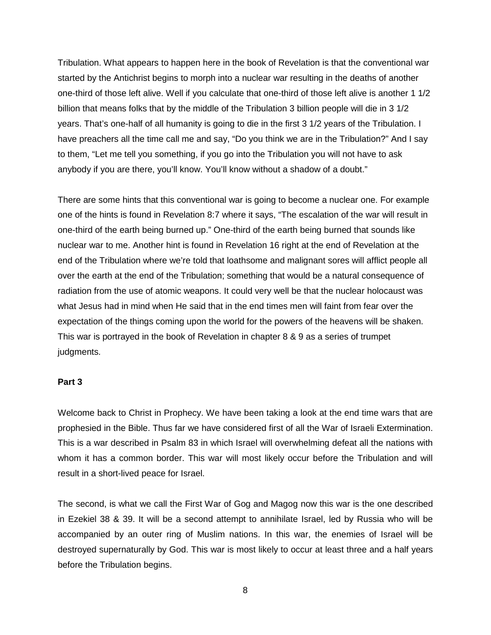Tribulation. What appears to happen here in the book of Revelation is that the conventional war started by the Antichrist begins to morph into a nuclear war resulting in the deaths of another one-third of those left alive. Well if you calculate that one-third of those left alive is another 1 1/2 billion that means folks that by the middle of the Tribulation 3 billion people will die in 3 1/2 years. That's one-half of all humanity is going to die in the first 3 1/2 years of the Tribulation. I have preachers all the time call me and say, "Do you think we are in the Tribulation?" And I say to them, "Let me tell you something, if you go into the Tribulation you will not have to ask anybody if you are there, you'll know. You'll know without a shadow of a doubt."

There are some hints that this conventional war is going to become a nuclear one. For example one of the hints is found in Revelation 8:7 where it says, "The escalation of the war will result in one-third of the earth being burned up." One-third of the earth being burned that sounds like nuclear war to me. Another hint is found in Revelation 16 right at the end of Revelation at the end of the Tribulation where we're told that loathsome and malignant sores will afflict people all over the earth at the end of the Tribulation; something that would be a natural consequence of radiation from the use of atomic weapons. It could very well be that the nuclear holocaust was what Jesus had in mind when He said that in the end times men will faint from fear over the expectation of the things coming upon the world for the powers of the heavens will be shaken. This war is portrayed in the book of Revelation in chapter 8 & 9 as a series of trumpet judgments.

#### **Part 3**

Welcome back to Christ in Prophecy. We have been taking a look at the end time wars that are prophesied in the Bible. Thus far we have considered first of all the War of Israeli Extermination. This is a war described in Psalm 83 in which Israel will overwhelming defeat all the nations with whom it has a common border. This war will most likely occur before the Tribulation and will result in a short-lived peace for Israel.

The second, is what we call the First War of Gog and Magog now this war is the one described in Ezekiel 38 & 39. It will be a second attempt to annihilate Israel, led by Russia who will be accompanied by an outer ring of Muslim nations. In this war, the enemies of Israel will be destroyed supernaturally by God. This war is most likely to occur at least three and a half years before the Tribulation begins.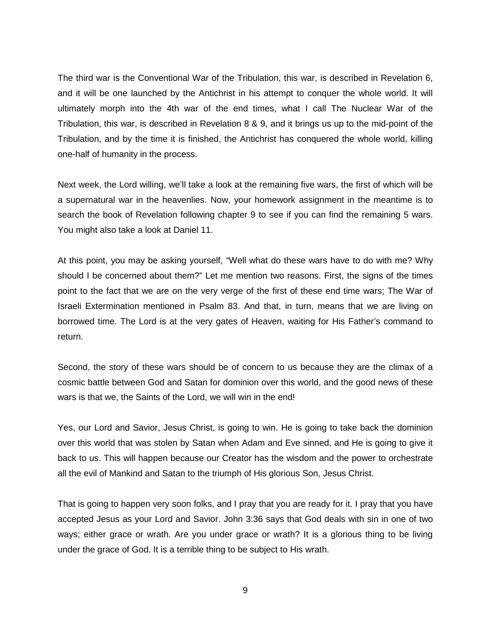The third war is the Conventional War of the Tribulation, this war, is described in Revelation 6, and it will be one launched by the Antichrist in his attempt to conquer the whole world. It will ultimately morph into the 4th war of the end times, what I call The Nuclear War of the Tribulation, this war, is described in Revelation 8 & 9, and it brings us up to the mid-point of the Tribulation, and by the time it is finished, the Antichrist has conquered the whole world, killing one-half of humanity in the process.

Next week, the Lord willing, we'll take a look at the remaining five wars, the first of which will be a supernatural war in the heavenlies. Now, your homework assignment in the meantime is to search the book of Revelation following chapter 9 to see if you can find the remaining 5 wars. You might also take a look at Daniel 11.

At this point, you may be asking yourself, "Well what do these wars have to do with me? Why should I be concerned about them?" Let me mention two reasons. First, the signs of the times point to the fact that we are on the very verge of the first of these end time wars; The War of Israeli Extermination mentioned in Psalm 83. And that, in turn, means that we are living on borrowed time. The Lord is at the very gates of Heaven, waiting for His Father's command to return.

Second, the story of these wars should be of concern to us because they are the climax of a cosmic battle between God and Satan for dominion over this world, and the good news of these wars is that we, the Saints of the Lord, we will win in the end!

Yes, our Lord and Savior, Jesus Christ, is going to win. He is going to take back the dominion over this world that was stolen by Satan when Adam and Eve sinned, and He is going to give it back to us. This will happen because our Creator has the wisdom and the power to orchestrate all the evil of Mankind and Satan to the triumph of His glorious Son, Jesus Christ.

That is going to happen very soon folks, and I pray that you are ready for it. I pray that you have accepted Jesus as your Lord and Savior. John 3:36 says that God deals with sin in one of two ways; either grace or wrath. Are you under grace or wrath? It is a glorious thing to be living under the grace of God. It is a terrible thing to be subject to His wrath.